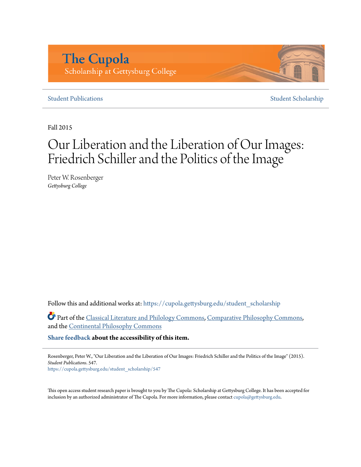# **The Cupola** Scholarship at Gettysburg College

## **[Student Publications](https://cupola.gettysburg.edu/student_scholarship?utm_source=cupola.gettysburg.edu%2Fstudent_scholarship%2F547&utm_medium=PDF&utm_campaign=PDFCoverPages)** [Student Scholarship](https://cupola.gettysburg.edu/student?utm_source=cupola.gettysburg.edu%2Fstudent_scholarship%2F547&utm_medium=PDF&utm_campaign=PDFCoverPages)

Fall 2015

# Our Liberation and the Liberation of Our Images: Friedrich Schiller and the Politics of the Image

Peter W. Rosenberger *Gettysburg College*

Follow this and additional works at: [https://cupola.gettysburg.edu/student\\_scholarship](https://cupola.gettysburg.edu/student_scholarship?utm_source=cupola.gettysburg.edu%2Fstudent_scholarship%2F547&utm_medium=PDF&utm_campaign=PDFCoverPages)

Part of the [Classical Literature and Philology Commons,](http://network.bepress.com/hgg/discipline/451?utm_source=cupola.gettysburg.edu%2Fstudent_scholarship%2F547&utm_medium=PDF&utm_campaign=PDFCoverPages) [Comparative Philosophy Commons,](http://network.bepress.com/hgg/discipline/1343?utm_source=cupola.gettysburg.edu%2Fstudent_scholarship%2F547&utm_medium=PDF&utm_campaign=PDFCoverPages) and the [Continental Philosophy Commons](http://network.bepress.com/hgg/discipline/526?utm_source=cupola.gettysburg.edu%2Fstudent_scholarship%2F547&utm_medium=PDF&utm_campaign=PDFCoverPages)

**[Share feedback](https://docs.google.com/a/bepress.com/forms/d/1h9eEcpBPj5POs5oO6Y5A0blXRmZqykoonyYiZUNyEq8/viewform) about the accessibility of this item.**

Rosenberger, Peter W., "Our Liberation and the Liberation of Our Images: Friedrich Schiller and the Politics of the Image" (2015). *Student Publications*. 547.

[https://cupola.gettysburg.edu/student\\_scholarship/547](https://cupola.gettysburg.edu/student_scholarship/547?utm_source=cupola.gettysburg.edu%2Fstudent_scholarship%2F547&utm_medium=PDF&utm_campaign=PDFCoverPages)

This open access student research paper is brought to you by The Cupola: Scholarship at Gettysburg College. It has been accepted for inclusion by an authorized administrator of The Cupola. For more information, please contact [cupola@gettysburg.edu.](mailto:cupola@gettysburg.edu)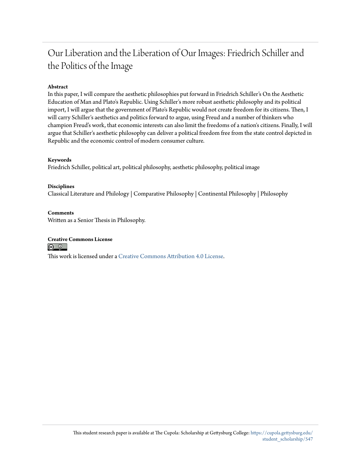# Our Liberation and the Liberation of Our Images: Friedrich Schiller and the Politics of the Image

## **Abstract**

In this paper, I will compare the aesthetic philosophies put forward in Friedrich Schiller's On the Aesthetic Education of Man and Plato's Republic. Using Schiller's more robust aesthetic philosophy and its political import, I will argue that the government of Plato's Republic would not create freedom for its citizens. Then, I will carry Schiller's aesthetics and politics forward to argue, using Freud and a number of thinkers who champion Freud's work, that economic interests can also limit the freedoms of a nation's citizens. Finally, I will argue that Schiller's aesthetic philosophy can deliver a political freedom free from the state control depicted in Republic and the economic control of modern consumer culture.

#### **Keywords**

Friedrich Schiller, political art, political philosophy, aesthetic philosophy, political image

#### **Disciplines**

Classical Literature and Philology | Comparative Philosophy | Continental Philosophy | Philosophy

#### **Comments**

Written as a Senior Thesis in Philosophy.

#### **Creative Commons License**

This work is licensed under a [Creative Commons Attribution 4.0 License.](https://creativecommons.org/licenses/by/4.0/)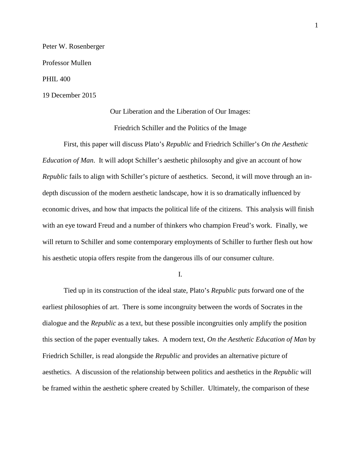Peter W. Rosenberger Professor Mullen PHIL 400 19 December 2015

> Our Liberation and the Liberation of Our Images: Friedrich Schiller and the Politics of the Image

First, this paper will discuss Plato's *Republic* and Friedrich Schiller's *On the Aesthetic Education of Man*. It will adopt Schiller's aesthetic philosophy and give an account of how *Republic* fails to align with Schiller's picture of aesthetics. Second, it will move through an indepth discussion of the modern aesthetic landscape, how it is so dramatically influenced by economic drives, and how that impacts the political life of the citizens. This analysis will finish with an eye toward Freud and a number of thinkers who champion Freud's work. Finally, we will return to Schiller and some contemporary employments of Schiller to further flesh out how his aesthetic utopia offers respite from the dangerous ills of our consumer culture.

I.

Tied up in its construction of the ideal state, Plato's *Republic* puts forward one of the earliest philosophies of art. There is some incongruity between the words of Socrates in the dialogue and the *Republic* as a text, but these possible incongruities only amplify the position this section of the paper eventually takes. A modern text, *On the Aesthetic Education of Man* by Friedrich Schiller, is read alongside the *Republic* and provides an alternative picture of aesthetics. A discussion of the relationship between politics and aesthetics in the *Republic* will be framed within the aesthetic sphere created by Schiller. Ultimately, the comparison of these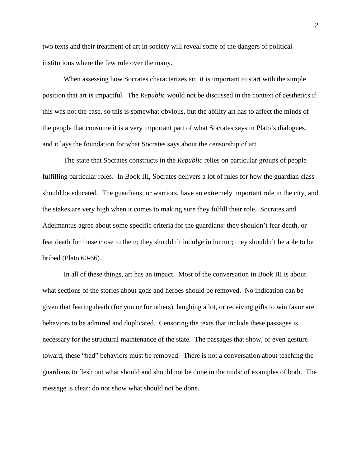two texts and their treatment of art in society will reveal some of the dangers of political institutions where the few rule over the many.

When assessing how Socrates characterizes art, it is important to start with the simple position that art is impactful. The *Republic* would not be discussed in the context of aesthetics if this was not the case, so this is somewhat obvious, but the ability art has to affect the minds of the people that consume it is a very important part of what Socrates says in Plato's dialogues, and it lays the foundation for what Socrates says about the censorship of art.

The state that Socrates constructs in the *Republic* relies on particular groups of people fulfilling particular roles. In Book III, Socrates delivers a lot of rules for how the guardian class should be educated. The guardians, or warriors, have an extremely important role in the city, and the stakes are very high when it comes to making sure they fulfill their role. Socrates and Adeimantus agree about some specific criteria for the guardians: they shouldn't fear death, or fear death for those close to them; they shouldn't indulge in humor; they shouldn't be able to be bribed (Plato 60-66).

In all of these things, art has an impact. Most of the conversation in Book III is about what sections of the stories about gods and heroes should be removed. No indication can be given that fearing death (for you or for others), laughing a lot, or receiving gifts to win favor are behaviors to be admired and duplicated. Censoring the texts that include these passages is necessary for the structural maintenance of the state. The passages that show, or even gesture toward, these "bad" behaviors must be removed. There is not a conversation about teaching the guardians to flesh out what should and should not be done in the midst of examples of both. The message is clear: do not show what should not be done.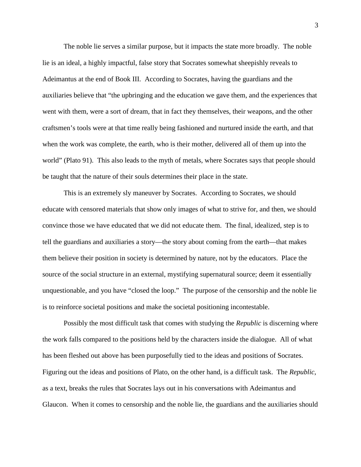The noble lie serves a similar purpose, but it impacts the state more broadly. The noble lie is an ideal, a highly impactful, false story that Socrates somewhat sheepishly reveals to Adeimantus at the end of Book III. According to Socrates, having the guardians and the auxiliaries believe that "the upbringing and the education we gave them, and the experiences that went with them, were a sort of dream, that in fact they themselves, their weapons, and the other craftsmen's tools were at that time really being fashioned and nurtured inside the earth, and that when the work was complete, the earth, who is their mother, delivered all of them up into the world" (Plato 91). This also leads to the myth of metals, where Socrates says that people should be taught that the nature of their souls determines their place in the state.

This is an extremely sly maneuver by Socrates. According to Socrates, we should educate with censored materials that show only images of what to strive for, and then, we should convince those we have educated that we did not educate them. The final, idealized, step is to tell the guardians and auxiliaries a story—the story about coming from the earth—that makes them believe their position in society is determined by nature, not by the educators. Place the source of the social structure in an external, mystifying supernatural source; deem it essentially unquestionable, and you have "closed the loop." The purpose of the censorship and the noble lie is to reinforce societal positions and make the societal positioning incontestable.

Possibly the most difficult task that comes with studying the *Republic* is discerning where the work falls compared to the positions held by the characters inside the dialogue. All of what has been fleshed out above has been purposefully tied to the ideas and positions of Socrates. Figuring out the ideas and positions of Plato, on the other hand, is a difficult task. The *Republic*, as a text, breaks the rules that Socrates lays out in his conversations with Adeimantus and Glaucon. When it comes to censorship and the noble lie, the guardians and the auxiliaries should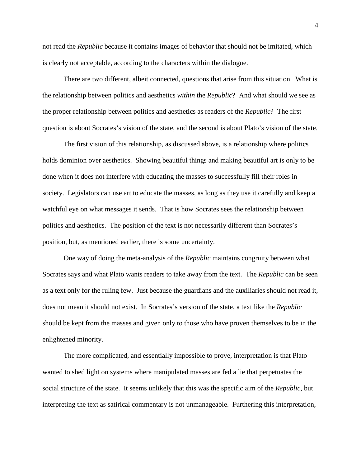not read the *Republic* because it contains images of behavior that should not be imitated, which is clearly not acceptable, according to the characters within the dialogue.

There are two different, albeit connected, questions that arise from this situation. What is the relationship between politics and aesthetics *within* the *Republic*? And what should we see as the proper relationship between politics and aesthetics as readers of the *Republic*? The first question is about Socrates's vision of the state, and the second is about Plato's vision of the state.

The first vision of this relationship, as discussed above, is a relationship where politics holds dominion over aesthetics. Showing beautiful things and making beautiful art is only to be done when it does not interfere with educating the masses to successfully fill their roles in society. Legislators can use art to educate the masses, as long as they use it carefully and keep a watchful eye on what messages it sends. That is how Socrates sees the relationship between politics and aesthetics. The position of the text is not necessarily different than Socrates's position, but, as mentioned earlier, there is some uncertainty.

One way of doing the meta-analysis of the *Republic* maintains congruity between what Socrates says and what Plato wants readers to take away from the text. The *Republic* can be seen as a text only for the ruling few. Just because the guardians and the auxiliaries should not read it, does not mean it should not exist. In Socrates's version of the state, a text like the *Republic* should be kept from the masses and given only to those who have proven themselves to be in the enlightened minority.

The more complicated, and essentially impossible to prove, interpretation is that Plato wanted to shed light on systems where manipulated masses are fed a lie that perpetuates the social structure of the state. It seems unlikely that this was the specific aim of the *Republic*, but interpreting the text as satirical commentary is not unmanageable. Furthering this interpretation,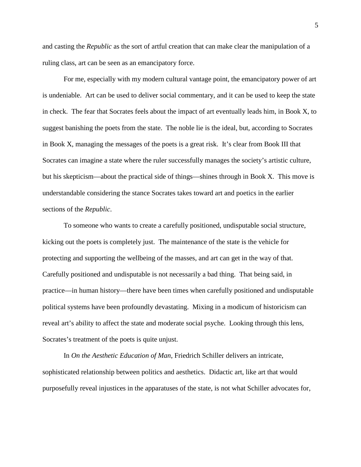and casting the *Republic* as the sort of artful creation that can make clear the manipulation of a ruling class, art can be seen as an emancipatory force.

For me, especially with my modern cultural vantage point, the emancipatory power of art is undeniable. Art can be used to deliver social commentary, and it can be used to keep the state in check. The fear that Socrates feels about the impact of art eventually leads him, in Book X, to suggest banishing the poets from the state. The noble lie is the ideal, but, according to Socrates in Book X, managing the messages of the poets is a great risk. It's clear from Book III that Socrates can imagine a state where the ruler successfully manages the society's artistic culture, but his skepticism—about the practical side of things—shines through in Book X. This move is understandable considering the stance Socrates takes toward art and poetics in the earlier sections of the *Republic*.

To someone who wants to create a carefully positioned, undisputable social structure, kicking out the poets is completely just. The maintenance of the state is the vehicle for protecting and supporting the wellbeing of the masses, and art can get in the way of that. Carefully positioned and undisputable is not necessarily a bad thing. That being said, in practice—in human history—there have been times when carefully positioned and undisputable political systems have been profoundly devastating. Mixing in a modicum of historicism can reveal art's ability to affect the state and moderate social psyche. Looking through this lens, Socrates's treatment of the poets is quite unjust.

In *On the Aesthetic Education of Man*, Friedrich Schiller delivers an intricate, sophisticated relationship between politics and aesthetics. Didactic art, like art that would purposefully reveal injustices in the apparatuses of the state, is not what Schiller advocates for,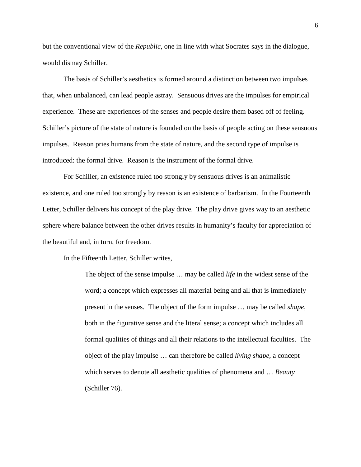but the conventional view of the *Republic*, one in line with what Socrates says in the dialogue, would dismay Schiller.

The basis of Schiller's aesthetics is formed around a distinction between two impulses that, when unbalanced, can lead people astray. Sensuous drives are the impulses for empirical experience. These are experiences of the senses and people desire them based off of feeling. Schiller's picture of the state of nature is founded on the basis of people acting on these sensuous impulses. Reason pries humans from the state of nature, and the second type of impulse is introduced: the formal drive. Reason is the instrument of the formal drive.

For Schiller, an existence ruled too strongly by sensuous drives is an animalistic existence, and one ruled too strongly by reason is an existence of barbarism. In the Fourteenth Letter, Schiller delivers his concept of the play drive. The play drive gives way to an aesthetic sphere where balance between the other drives results in humanity's faculty for appreciation of the beautiful and, in turn, for freedom.

In the Fifteenth Letter, Schiller writes,

The object of the sense impulse … may be called *life* in the widest sense of the word; a concept which expresses all material being and all that is immediately present in the senses. The object of the form impulse … may be called *shape*, both in the figurative sense and the literal sense; a concept which includes all formal qualities of things and all their relations to the intellectual faculties. The object of the play impulse … can therefore be called *living shape*, a concept which serves to denote all aesthetic qualities of phenomena and … *Beauty* (Schiller 76).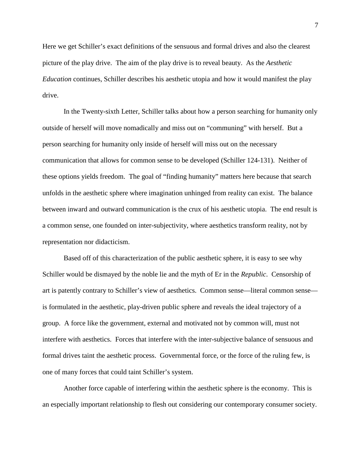Here we get Schiller's exact definitions of the sensuous and formal drives and also the clearest picture of the play drive. The aim of the play drive is to reveal beauty. As the *Aesthetic Education* continues, Schiller describes his aesthetic utopia and how it would manifest the play drive.

In the Twenty-sixth Letter, Schiller talks about how a person searching for humanity only outside of herself will move nomadically and miss out on "communing" with herself. But a person searching for humanity only inside of herself will miss out on the necessary communication that allows for common sense to be developed (Schiller 124-131). Neither of these options yields freedom. The goal of "finding humanity" matters here because that search unfolds in the aesthetic sphere where imagination unhinged from reality can exist. The balance between inward and outward communication is the crux of his aesthetic utopia. The end result is a common sense, one founded on inter-subjectivity, where aesthetics transform reality, not by representation nor didacticism.

Based off of this characterization of the public aesthetic sphere, it is easy to see why Schiller would be dismayed by the noble lie and the myth of Er in the *Republic*. Censorship of art is patently contrary to Schiller's view of aesthetics. Common sense—literal common sense is formulated in the aesthetic, play-driven public sphere and reveals the ideal trajectory of a group. A force like the government, external and motivated not by common will, must not interfere with aesthetics. Forces that interfere with the inter-subjective balance of sensuous and formal drives taint the aesthetic process. Governmental force, or the force of the ruling few, is one of many forces that could taint Schiller's system.

Another force capable of interfering within the aesthetic sphere is the economy. This is an especially important relationship to flesh out considering our contemporary consumer society.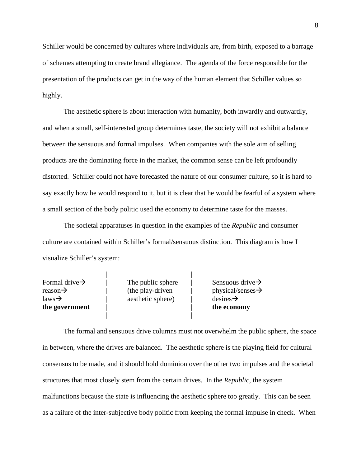Schiller would be concerned by cultures where individuals are, from birth, exposed to a barrage of schemes attempting to create brand allegiance. The agenda of the force responsible for the presentation of the products can get in the way of the human element that Schiller values so highly.

The aesthetic sphere is about interaction with humanity, both inwardly and outwardly, and when a small, self-interested group determines taste, the society will not exhibit a balance between the sensuous and formal impulses. When companies with the sole aim of selling products are the dominating force in the market, the common sense can be left profoundly distorted. Schiller could not have forecasted the nature of our consumer culture, so it is hard to say exactly how he would respond to it, but it is clear that he would be fearful of a system where a small section of the body politic used the economy to determine taste for the masses.

The societal apparatuses in question in the examples of the *Republic* and consumer culture are contained within Schiller's formal/sensuous distinction. This diagram is how I visualize Schiller's system:

| Formal drive $\rightarrow$ | The public sphere | Sensuous drive $\rightarrow$  |
|----------------------------|-------------------|-------------------------------|
| reason $\rightarrow$       | (the play-driven  | $physical/senses \rightarrow$ |
| $\text{laws} \rightarrow$  | aesthetic sphere) | $desires \rightarrow$         |
| the government             |                   | the economy                   |
|                            |                   |                               |

The formal and sensuous drive columns must not overwhelm the public sphere, the space in between, where the drives are balanced. The aesthetic sphere is the playing field for cultural consensus to be made, and it should hold dominion over the other two impulses and the societal structures that most closely stem from the certain drives. In the *Republic*, the system malfunctions because the state is influencing the aesthetic sphere too greatly. This can be seen as a failure of the inter-subjective body politic from keeping the formal impulse in check. When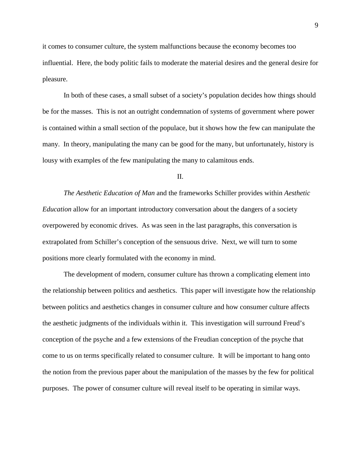it comes to consumer culture, the system malfunctions because the economy becomes too influential. Here, the body politic fails to moderate the material desires and the general desire for pleasure.

In both of these cases, a small subset of a society's population decides how things should be for the masses. This is not an outright condemnation of systems of government where power is contained within a small section of the populace, but it shows how the few can manipulate the many. In theory, manipulating the many can be good for the many, but unfortunately, history is lousy with examples of the few manipulating the many to calamitous ends.

II.

*The Aesthetic Education of Man* and the frameworks Schiller provides within *Aesthetic Education* allow for an important introductory conversation about the dangers of a society overpowered by economic drives. As was seen in the last paragraphs, this conversation is extrapolated from Schiller's conception of the sensuous drive. Next, we will turn to some positions more clearly formulated with the economy in mind.

The development of modern, consumer culture has thrown a complicating element into the relationship between politics and aesthetics. This paper will investigate how the relationship between politics and aesthetics changes in consumer culture and how consumer culture affects the aesthetic judgments of the individuals within it. This investigation will surround Freud's conception of the psyche and a few extensions of the Freudian conception of the psyche that come to us on terms specifically related to consumer culture. It will be important to hang onto the notion from the previous paper about the manipulation of the masses by the few for political purposes. The power of consumer culture will reveal itself to be operating in similar ways.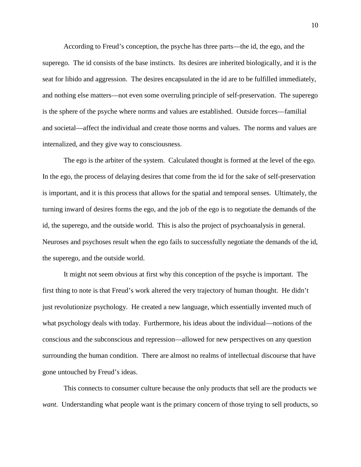According to Freud's conception, the psyche has three parts—the id, the ego, and the superego. The id consists of the base instincts. Its desires are inherited biologically, and it is the seat for libido and aggression. The desires encapsulated in the id are to be fulfilled immediately, and nothing else matters—not even some overruling principle of self-preservation. The superego is the sphere of the psyche where norms and values are established. Outside forces—familial and societal—affect the individual and create those norms and values. The norms and values are internalized, and they give way to consciousness.

The ego is the arbiter of the system. Calculated thought is formed at the level of the ego. In the ego, the process of delaying desires that come from the id for the sake of self-preservation is important, and it is this process that allows for the spatial and temporal senses. Ultimately, the turning inward of desires forms the ego, and the job of the ego is to negotiate the demands of the id, the superego, and the outside world. This is also the project of psychoanalysis in general. Neuroses and psychoses result when the ego fails to successfully negotiate the demands of the id, the superego, and the outside world.

It might not seem obvious at first why this conception of the psyche is important. The first thing to note is that Freud's work altered the very trajectory of human thought. He didn't just revolutionize psychology. He created a new language, which essentially invented much of what psychology deals with today. Furthermore, his ideas about the individual—notions of the conscious and the subconscious and repression—allowed for new perspectives on any question surrounding the human condition. There are almost no realms of intellectual discourse that have gone untouched by Freud's ideas.

This connects to consumer culture because the only products that sell are the products we *want.* Understanding what people want is the primary concern of those trying to sell products, so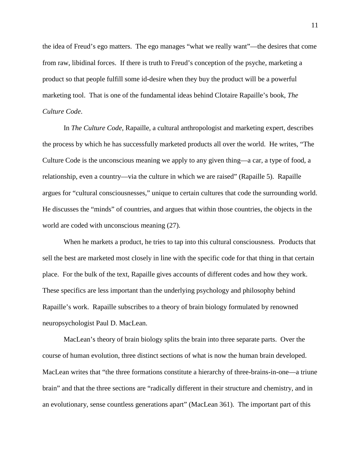the idea of Freud's ego matters. The ego manages "what we really want"—the desires that come from raw, libidinal forces. If there is truth to Freud's conception of the psyche, marketing a product so that people fulfill some id-desire when they buy the product will be a powerful marketing tool. That is one of the fundamental ideas behind Clotaire Rapaille's book, *The Culture Code*.

In *The Culture Code*, Rapaille, a cultural anthropologist and marketing expert, describes the process by which he has successfully marketed products all over the world. He writes, "The Culture Code is the unconscious meaning we apply to any given thing—a car, a type of food, a relationship, even a country—via the culture in which we are raised" (Rapaille 5). Rapaille argues for "cultural consciousnesses," unique to certain cultures that code the surrounding world. He discusses the "minds" of countries, and argues that within those countries, the objects in the world are coded with unconscious meaning (27).

When he markets a product, he tries to tap into this cultural consciousness. Products that sell the best are marketed most closely in line with the specific code for that thing in that certain place. For the bulk of the text, Rapaille gives accounts of different codes and how they work. These specifics are less important than the underlying psychology and philosophy behind Rapaille's work. Rapaille subscribes to a theory of brain biology formulated by renowned neuropsychologist Paul D. MacLean.

MacLean's theory of brain biology splits the brain into three separate parts. Over the course of human evolution, three distinct sections of what is now the human brain developed. MacLean writes that "the three formations constitute a hierarchy of three-brains-in-one—a triune brain" and that the three sections are "radically different in their structure and chemistry, and in an evolutionary, sense countless generations apart" (MacLean 361). The important part of this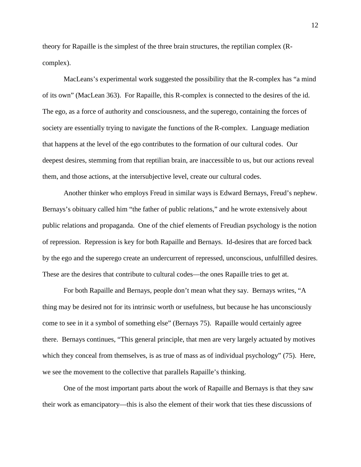theory for Rapaille is the simplest of the three brain structures, the reptilian complex (Rcomplex).

MacLeans's experimental work suggested the possibility that the R-complex has "a mind of its own" (MacLean 363). For Rapaille, this R-complex is connected to the desires of the id. The ego, as a force of authority and consciousness, and the superego, containing the forces of society are essentially trying to navigate the functions of the R-complex. Language mediation that happens at the level of the ego contributes to the formation of our cultural codes. Our deepest desires, stemming from that reptilian brain, are inaccessible to us, but our actions reveal them, and those actions, at the intersubjective level, create our cultural codes.

Another thinker who employs Freud in similar ways is Edward Bernays, Freud's nephew. Bernays's obituary called him "the father of public relations," and he wrote extensively about public relations and propaganda. One of the chief elements of Freudian psychology is the notion of repression. Repression is key for both Rapaille and Bernays. Id-desires that are forced back by the ego and the superego create an undercurrent of repressed, unconscious, unfulfilled desires. These are the desires that contribute to cultural codes—the ones Rapaille tries to get at.

For both Rapaille and Bernays, people don't mean what they say. Bernays writes, "A thing may be desired not for its intrinsic worth or usefulness, but because he has unconsciously come to see in it a symbol of something else" (Bernays 75). Rapaille would certainly agree there. Bernays continues, "This general principle, that men are very largely actuated by motives which they conceal from themselves, is as true of mass as of individual psychology" (75). Here, we see the movement to the collective that parallels Rapaille's thinking.

One of the most important parts about the work of Rapaille and Bernays is that they saw their work as emancipatory—this is also the element of their work that ties these discussions of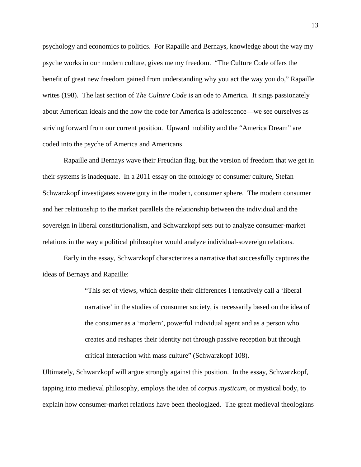psychology and economics to politics. For Rapaille and Bernays, knowledge about the way my psyche works in our modern culture, gives me my freedom. "The Culture Code offers the benefit of great new freedom gained from understanding why you act the way you do," Rapaille writes (198). The last section of *The Culture Code* is an ode to America. It sings passionately about American ideals and the how the code for America is adolescence—we see ourselves as striving forward from our current position. Upward mobility and the "America Dream" are coded into the psyche of America and Americans.

Rapaille and Bernays wave their Freudian flag, but the version of freedom that we get in their systems is inadequate. In a 2011 essay on the ontology of consumer culture, Stefan Schwarzkopf investigates sovereignty in the modern, consumer sphere. The modern consumer and her relationship to the market parallels the relationship between the individual and the sovereign in liberal constitutionalism, and Schwarzkopf sets out to analyze consumer-market relations in the way a political philosopher would analyze individual-sovereign relations.

Early in the essay, Schwarzkopf characterizes a narrative that successfully captures the ideas of Bernays and Rapaille:

> "This set of views, which despite their differences I tentatively call a 'liberal narrative' in the studies of consumer society, is necessarily based on the idea of the consumer as a 'modern', powerful individual agent and as a person who creates and reshapes their identity not through passive reception but through critical interaction with mass culture" (Schwarzkopf 108).

Ultimately, Schwarzkopf will argue strongly against this position. In the essay, Schwarzkopf, tapping into medieval philosophy, employs the idea of *corpus mysticum*, or mystical body, to explain how consumer-market relations have been theologized. The great medieval theologians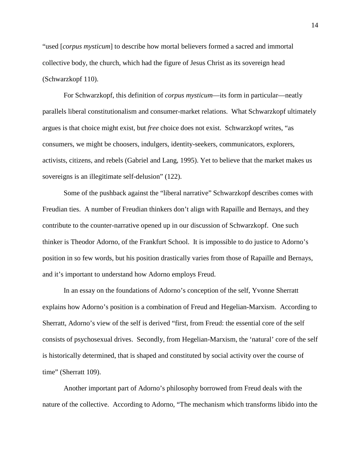"used [*corpus mysticum*] to describe how mortal believers formed a sacred and immortal collective body, the church, which had the figure of Jesus Christ as its sovereign head (Schwarzkopf 110).

For Schwarzkopf, this definition of *corpus mysticum*—its form in particular—neatly parallels liberal constitutionalism and consumer-market relations. What Schwarzkopf ultimately argues is that choice might exist, but *free* choice does not exist. Schwarzkopf writes, "as consumers, we might be choosers, indulgers, identity-seekers, communicators, explorers, activists, citizens, and rebels (Gabriel and Lang, 1995). Yet to believe that the market makes us sovereigns is an illegitimate self-delusion" (122).

Some of the pushback against the "liberal narrative" Schwarzkopf describes comes with Freudian ties. A number of Freudian thinkers don't align with Rapaille and Bernays, and they contribute to the counter-narrative opened up in our discussion of Schwarzkopf. One such thinker is Theodor Adorno, of the Frankfurt School. It is impossible to do justice to Adorno's position in so few words, but his position drastically varies from those of Rapaille and Bernays, and it's important to understand how Adorno employs Freud.

In an essay on the foundations of Adorno's conception of the self, Yvonne Sherratt explains how Adorno's position is a combination of Freud and Hegelian-Marxism. According to Sherratt, Adorno's view of the self is derived "first, from Freud: the essential core of the self consists of psychosexual drives. Secondly, from Hegelian-Marxism, the 'natural' core of the self is historically determined, that is shaped and constituted by social activity over the course of time" (Sherratt 109).

Another important part of Adorno's philosophy borrowed from Freud deals with the nature of the collective. According to Adorno, "The mechanism which transforms libido into the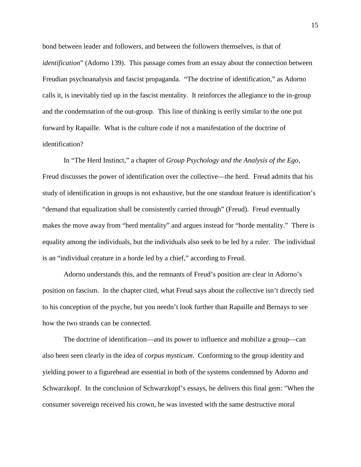bond between leader and followers, and between the followers themselves, is that of *identification*" (Adorno 139). This passage comes from an essay about the connection between Freudian psychoanalysis and fascist propaganda. "The doctrine of identification," as Adorno calls it, is inevitably tied up in the fascist mentality. It reinforces the allegiance to the in-group and the condemnation of the out-group. This line of thinking is eerily similar to the one put forward by Rapaille. What is the culture code if not a manifestation of the doctrine of identification?

In "The Herd Instinct," a chapter of *Group Psychology and the Analysis of the Ego*, Freud discusses the power of identification over the collective—the herd. Freud admits that his study of identification in groups is not exhaustive, but the one standout feature is identification's "demand that equalization shall be consistently carried through" (Freud). Freud eventually makes the move away from "herd mentality" and argues instead for "horde mentality." There is equality among the individuals, but the individuals also seek to be led by a ruler. The individual is an "individual creature in a horde led by a chief," according to Freud.

Adorno understands this, and the remnants of Freud's position are clear in Adorno's position on fascism. In the chapter cited, what Freud says about the collective isn't directly tied to his conception of the psyche, but you needn't look further than Rapaille and Bernays to see how the two strands can be connected.

The doctrine of identification—and its power to influence and mobilize a group—can also been seen clearly in the idea of *corpus mysticum*. Conforming to the group identity and yielding power to a figurehead are essential in both of the systems condemned by Adorno and Schwarzkopf. In the conclusion of Schwarzkopf's essays, he delivers this final gem: "When the consumer sovereign received his crown, he was invested with the same destructive moral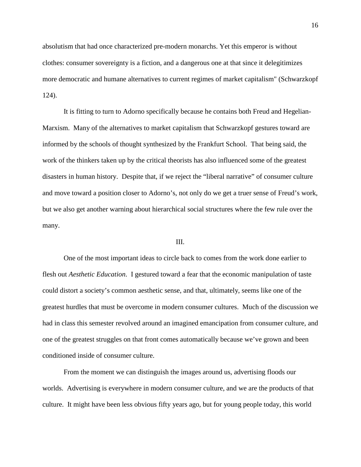absolutism that had once characterized pre-modern monarchs. Yet this emperor is without clothes: consumer sovereignty is a fiction, and a dangerous one at that since it delegitimizes more democratic and humane alternatives to current regimes of market capitalism" (Schwarzkopf 124).

It is fitting to turn to Adorno specifically because he contains both Freud and Hegelian-Marxism. Many of the alternatives to market capitalism that Schwarzkopf gestures toward are informed by the schools of thought synthesized by the Frankfurt School. That being said, the work of the thinkers taken up by the critical theorists has also influenced some of the greatest disasters in human history. Despite that, if we reject the "liberal narrative" of consumer culture and move toward a position closer to Adorno's, not only do we get a truer sense of Freud's work, but we also get another warning about hierarchical social structures where the few rule over the many.

#### III.

One of the most important ideas to circle back to comes from the work done earlier to flesh out *Aesthetic Education*. I gestured toward a fear that the economic manipulation of taste could distort a society's common aesthetic sense, and that, ultimately, seems like one of the greatest hurdles that must be overcome in modern consumer cultures. Much of the discussion we had in class this semester revolved around an imagined emancipation from consumer culture, and one of the greatest struggles on that front comes automatically because we've grown and been conditioned inside of consumer culture.

From the moment we can distinguish the images around us, advertising floods our worlds. Advertising is everywhere in modern consumer culture, and we are the products of that culture. It might have been less obvious fifty years ago, but for young people today, this world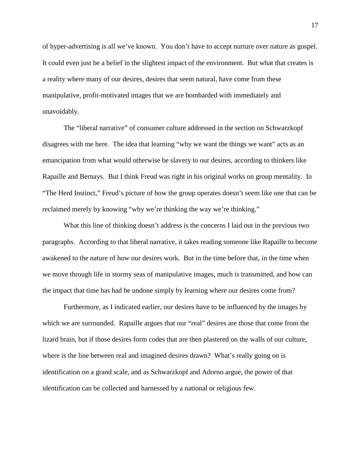of hyper-advertising is all we've known. You don't have to accept nurture over nature as gospel. It could even just be a belief in the slightest impact of the environment. But what that creates is a reality where many of our desires, desires that seem natural, have come from these manipulative, profit-motivated images that we are bombarded with immediately and unavoidably.

The "liberal narrative" of consumer culture addressed in the section on Schwarzkopf disagrees with me here. The idea that learning "why we want the things we want" acts as an emancipation from what would otherwise be slavery to our desires, according to thinkers like Rapaille and Bernays. But I think Freud was right in his original works on group mentality. In "The Herd Instinct," Freud's picture of how the group operates doesn't seem like one that can be reclaimed merely by knowing "why we're thinking the way we're thinking."

What this line of thinking doesn't address is the concerns I laid out in the previous two paragraphs. According to that liberal narrative, it takes reading someone like Rapaille to become awakened to the nature of how our desires work. But in the time before that, in the time when we move through life in stormy seas of manipulative images, much is transmitted, and how can the impact that time has had be undone simply by learning where our desires come from?

Furthermore, as I indicated earlier, our desires have to be influenced by the images by which we are surrounded. Rapaille argues that our "real" desires are those that come from the lizard brain, but if those desires form codes that are then plastered on the walls of our culture, where is the line between real and imagined desires drawn? What's really going on is identification on a grand scale, and as Schwarzkopf and Adorno argue, the power of that identification can be collected and harnessed by a national or religious few.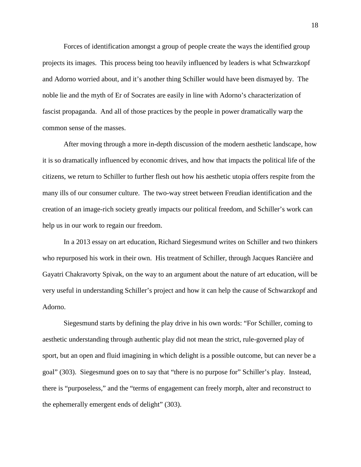Forces of identification amongst a group of people create the ways the identified group projects its images. This process being too heavily influenced by leaders is what Schwarzkopf and Adorno worried about, and it's another thing Schiller would have been dismayed by. The noble lie and the myth of Er of Socrates are easily in line with Adorno's characterization of fascist propaganda. And all of those practices by the people in power dramatically warp the common sense of the masses.

After moving through a more in-depth discussion of the modern aesthetic landscape, how it is so dramatically influenced by economic drives, and how that impacts the political life of the citizens, we return to Schiller to further flesh out how his aesthetic utopia offers respite from the many ills of our consumer culture. The two-way street between Freudian identification and the creation of an image-rich society greatly impacts our political freedom, and Schiller's work can help us in our work to regain our freedom.

In a 2013 essay on art education, Richard Siegesmund writes on Schiller and two thinkers who repurposed his work in their own. His treatment of Schiller, through Jacques Rancière and Gayatri Chakravorty Spivak, on the way to an argument about the nature of art education, will be very useful in understanding Schiller's project and how it can help the cause of Schwarzkopf and Adorno.

Siegesmund starts by defining the play drive in his own words: "For Schiller, coming to aesthetic understanding through authentic play did not mean the strict, rule-governed play of sport, but an open and fluid imagining in which delight is a possible outcome, but can never be a goal" (303). Siegesmund goes on to say that "there is no purpose for" Schiller's play. Instead, there is "purposeless," and the "terms of engagement can freely morph, alter and reconstruct to the ephemerally emergent ends of delight" (303).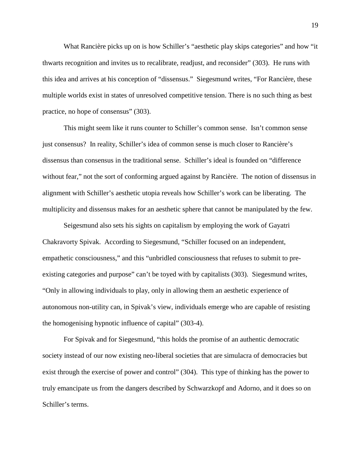What Rancière picks up on is how Schiller's "aesthetic play skips categories" and how "it thwarts recognition and invites us to recalibrate, readjust, and reconsider" (303). He runs with this idea and arrives at his conception of "dissensus." Siegesmund writes, "For Rancière, these multiple worlds exist in states of unresolved competitive tension. There is no such thing as best practice, no hope of consensus" (303).

This might seem like it runs counter to Schiller's common sense. Isn't common sense just consensus? In reality, Schiller's idea of common sense is much closer to Rancière's dissensus than consensus in the traditional sense. Schiller's ideal is founded on "difference without fear," not the sort of conforming argued against by Rancière. The notion of dissensus in alignment with Schiller's aesthetic utopia reveals how Schiller's work can be liberating. The multiplicity and dissensus makes for an aesthetic sphere that cannot be manipulated by the few.

Seigesmund also sets his sights on capitalism by employing the work of Gayatri Chakravorty Spivak. According to Siegesmund, "Schiller focused on an independent, empathetic consciousness," and this "unbridled consciousness that refuses to submit to preexisting categories and purpose" can't be toyed with by capitalists (303). Siegesmund writes, "Only in allowing individuals to play, only in allowing them an aesthetic experience of autonomous non-utility can, in Spivak's view, individuals emerge who are capable of resisting the homogenising hypnotic influence of capital" (303-4).

For Spivak and for Siegesmund, "this holds the promise of an authentic democratic society instead of our now existing neo-liberal societies that are simulacra of democracies but exist through the exercise of power and control" (304). This type of thinking has the power to truly emancipate us from the dangers described by Schwarzkopf and Adorno, and it does so on Schiller's terms.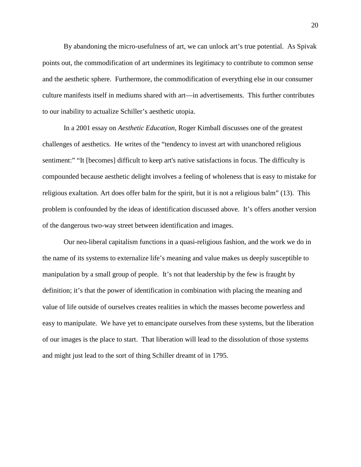By abandoning the micro-usefulness of art, we can unlock art's true potential. As Spivak points out, the commodification of art undermines its legitimacy to contribute to common sense and the aesthetic sphere. Furthermore, the commodification of everything else in our consumer culture manifests itself in mediums shared with art—in advertisements. This further contributes to our inability to actualize Schiller's aesthetic utopia.

In a 2001 essay on *Aesthetic Education*, Roger Kimball discusses one of the greatest challenges of aesthetics. He writes of the "tendency to invest art with unanchored religious sentiment:" "It [becomes] difficult to keep art's native satisfactions in focus. The difficulty is compounded because aesthetic delight involves a feeling of wholeness that is easy to mistake for religious exaltation. Art does offer balm for the spirit, but it is not a religious balm" (13). This problem is confounded by the ideas of identification discussed above. It's offers another version of the dangerous two-way street between identification and images.

Our neo-liberal capitalism functions in a quasi-religious fashion, and the work we do in the name of its systems to externalize life's meaning and value makes us deeply susceptible to manipulation by a small group of people. It's not that leadership by the few is fraught by definition; it's that the power of identification in combination with placing the meaning and value of life outside of ourselves creates realities in which the masses become powerless and easy to manipulate. We have yet to emancipate ourselves from these systems, but the liberation of our images is the place to start. That liberation will lead to the dissolution of those systems and might just lead to the sort of thing Schiller dreamt of in 1795.